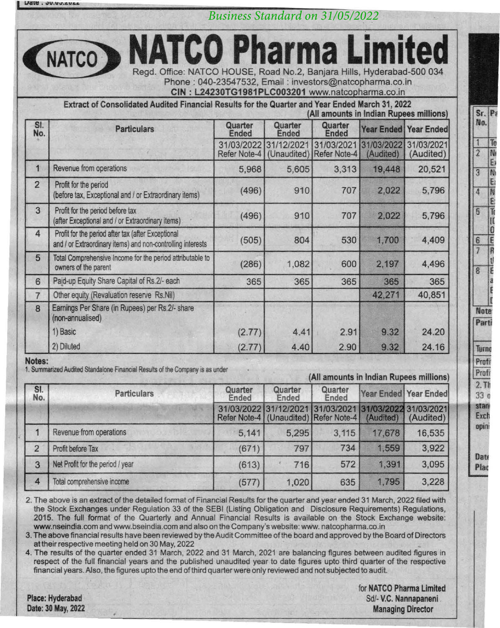*Business Standard on 31/05/2022*

**MATCO Pharma** Read, Office: NATCO HOUSE, Road No. 2, Banjara Hills, Hyderabad-500 034 Phone: 040-23547532. Email: investors@natcopharma.co.in

CIN: L24230TG1981PLC003201 www.natcooharma.co.in

Extract of Consolidated Audited Financial Results for the Quarter and Year Ended March 31, 2022 (All amounts in Indian Rupees millions)

| SI.<br>No.     | <b>Particulars</b>                                                                                                | Quarter<br>Ended                  | Quarter<br><b>Ended</b>   | Quarter<br><b>Ended</b>           | <b>Year Ended   Year Ended</b> |                         |
|----------------|-------------------------------------------------------------------------------------------------------------------|-----------------------------------|---------------------------|-----------------------------------|--------------------------------|-------------------------|
|                |                                                                                                                   | 31/03/2022<br><b>Refer Note-4</b> | 31/12/2021<br>(Unaudited) | 31/03/2021<br><b>Refer Note-4</b> | 31/03/2022<br>(Audited)        | 31/03/2021<br>(Audited) |
| 1              | Revenue from operations                                                                                           | 5.968                             | 5,605                     | 3.313                             | 19,448                         | 20,521                  |
| $\overline{2}$ | Profit for the period<br>(before tax, Exceptional and / or Extraordinary items)                                   | (496)                             | 910                       | 707                               | 2.022                          | 5,796                   |
| 3              | Profit for the period before tax<br>(after Exceptional and / or Extraordinary items)                              | (496)                             | 910                       | 707                               | 2.022                          | 5.796                   |
| 4              | Profit for the period after tax (after Exceptional<br>and / or Extraordinary items) and non-controlling interests | (505)                             | 804                       | 530                               | 1,700                          | 4,409                   |
| 5              | Total Comprehensive Income for the period attributable to<br>owners of the parent                                 | (286)                             | 1,082                     | 600                               | 2,197                          | 4,496                   |
| $6\phantom{1}$ | Paid-up Equity Share Capital of Rs.2/- each                                                                       | 365                               | 365                       | 365                               | 365                            | 365                     |
| 7              | Other equity (Revaluation reserve Rs.Nil)                                                                         |                                   |                           |                                   | 42,271                         | 40,851                  |
| $\overline{8}$ | Earnings Per Share (in Rupees) per Rs.2/- share<br>(non-annualised)                                               |                                   |                           |                                   |                                |                         |
|                | 1) Basic                                                                                                          | (2.77)                            | 4.41                      | 2.91                              | 9.32                           | 24.20                   |
|                | 2) Diluted                                                                                                        | (2.77)                            | 4.40                      | 2.90                              | 9.32                           | 24.16                   |

Notes:

1. Summarized Audited Standalone Financial Results of the Company is as under

## (All amounts in Indian Rupees millions)

| SI.<br>No.     | <b>Particulars</b>               | Quarter<br>Ended           | Quarter<br>Ended | Quarter<br>Ended                       | Year Ended Year Ended |                                   |
|----------------|----------------------------------|----------------------------|------------------|----------------------------------------|-----------------------|-----------------------------------|
|                |                                  | 31/03/2022<br>Refer Note-4 | 31/12/2021       | 31/03/2021<br>(Unaudited) Refer Note-4 | (Audited)             | 1/03/2022 31/03/2021<br>(Audited) |
|                | Revenue from operations          | 5.141                      | 5.295            | 3.115                                  | 17.678                | 16.535                            |
| 2              | Profit before Tax                | (671)                      | 797              | 734                                    | 1.559                 | 3,922                             |
| 3              | Net Profit for the period / year | (613)                      | 716              | 572                                    | 1.391                 | 3.095                             |
| $\overline{A}$ | Total comprehensive income       | (577)                      | 1,020            | 635                                    | 1,795                 | 3.228                             |

2. The above is an extract of the detailed format of Financial Results for the quarter and year ended 31 March, 2022 filed with the Stock Exchanges under Regulation 33 of the SEBI (Listing Obligation and Disclosure Requirements) Regulations, 2015. The full format of the Quarterly and Annual Financial Results is available on the Stock Exchange website: www.nseindia.com and www.bseindia.com and also on the Company's website:www.natcopharma.co.in

3. The above financial results have been reviewed by the Audit Committee of the board and approved by the Board of Directors at their respective meeting held on 30 May, 2022

4. The results of the quarter ended 31 March, 2022 and 31 March, 2021 are balancing figures between audited figures in respect of the full financial years and the published unaudited year to date figures upto third quarter of the respective financial years.Also, the figures upto the end of third quarter were only reviewed and not subjected to audit.

Place: Hyderabad Date: 30 May, 2022 for NATCO Pharma Limited Sd/- V.C. Nannapaneni Managing Director